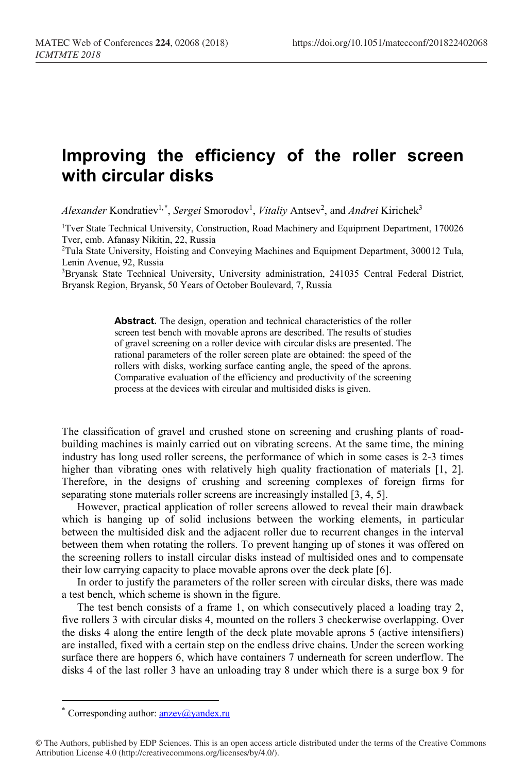## **Improving the efficiency of the roller screen with circular disks**

Alexander Kondratiev<sup>1,[\\*](#page-0-0)</sup>, *Sergei* Smorodov<sup>1</sup>, *Vitaliy* Antsev<sup>2</sup>, and Andrei Kirichek<sup>3</sup>

1Tver State Technical University, Construction, Road Machinery and Equipment Department, 170026 Tver, emb. Afanasy Nikitin, 22, Russia

2Tula State University, Hoisting and Conveying Machines and Equipment Department, 300012 Tula, Lenin Avenue, 92, Russia

3Bryansk State Technical University, University administration, 241035 Central Federal District, Bryansk Region, Bryansk, 50 Years of October Boulevard, 7, Russia

> Abstract. The design, operation and technical characteristics of the roller screen test bench with movable aprons are described. The results of studies of gravel screening on a roller device with circular disks are presented. The rational parameters of the roller screen plate are obtained: the speed of the rollers with disks, working surface canting angle, the speed of the aprons. Comparative evaluation of the efficiency and productivity of the screening process at the devices with circular and multisided disks is given.

The classification of gravel and crushed stone on screening and crushing plants of roadbuilding machines is mainly carried out on vibrating screens. At the same time, the mining industry has long used roller screens, the performance of which in some cases is 2-3 times higher than vibrating ones with relatively high quality fractionation of materials [1, 2]. Therefore, in the designs of crushing and screening complexes of foreign firms for separating stone materials roller screens are increasingly installed [3, 4, 5].

However, practical application of roller screens allowed to reveal their main drawback which is hanging up of solid inclusions between the working elements, in particular between the multisided disk and the adjacent roller due to recurrent changes in the interval between them when rotating the rollers. To prevent hanging up of stones it was offered on the screening rollers to install circular disks instead of multisided ones and to compensate their low carrying capacity to place movable aprons over the deck plate [6].

In order to justify the parameters of the roller screen with circular disks, there was made a test bench, which scheme is shown in the figure.

The test bench consists of a frame 1, on which consecutively placed a loading tray 2, five rollers 3 with circular disks 4, mounted on the rollers 3 checkerwise overlapping. Over the disks 4 along the entire length of the deck plate movable aprons 5 (active intensifiers) are installed, fixed with a certain step on the endless drive chains. Under the screen working surface there are hoppers 6, which have containers 7 underneath for screen underflow. The disks 4 of the last roller 3 have an unloading tray 8 under which there is a surge box 9 for

 $\overline{a}$ 

Corresponding author:  $\frac{\text{anzev}}{\text{ayandex}}$ .ru

<span id="page-0-0"></span><sup>©</sup> The Authors, published by EDP Sciences. This is an open access article distributed under the terms of the Creative Commons Attribution License 4.0 (http://creativecommons.org/licenses/by/4.0/).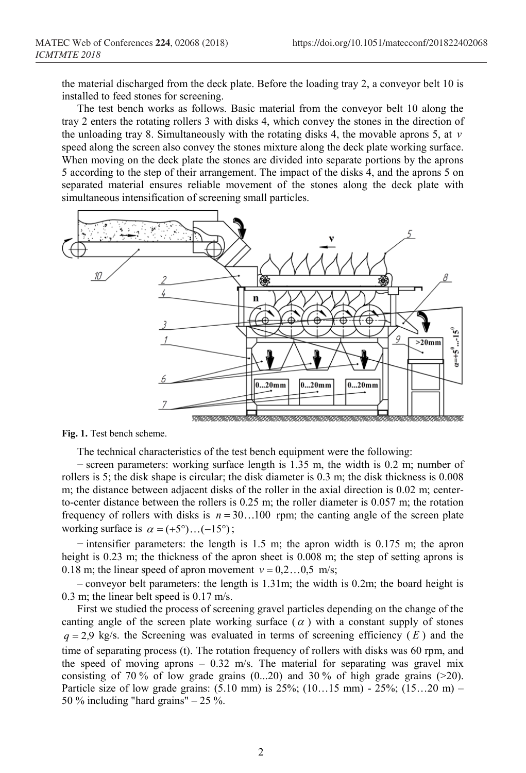the material discharged from the deck plate. Before the loading tray 2, a conveyor belt 10 is installed to feed stones for screening.

The test bench works as follows. Basic material from the conveyor belt 10 along the tray 2 enters the rotating rollers 3 with disks 4, which convey the stones in the direction of the unloading tray 8. Simultaneously with the rotating disks 4, the movable aprons 5, at *v* speed along the screen also convey the stones mixture along the deck plate working surface. When moving on the deck plate the stones are divided into separate portions by the aprons 5 according to the step of their arrangement. The impact of the disks 4, and the aprons 5 on separated material ensures reliable movement of the stones along the deck plate with simultaneous intensification of screening small particles.



**Fig. 1.** Test bench scheme.

The technical characteristics of the test bench equipment were the following:

− screen parameters: working surface length is 1.35 m, the width is 0.2 m; number of rollers is 5; the disk shape is circular; the disk diameter is 0.3 m; the disk thickness is 0.008 m; the distance between adjacent disks of the roller in the axial direction is 0.02 m; centerto-center distance between the rollers is 0.25 m; the roller diameter is 0.057 m; the rotation frequency of rollers with disks is  $n = 30...100$  rpm; the canting angle of the screen plate working surface is  $\alpha = (+5^{\circ})...(-15^{\circ})$ ;

− intensifier parameters: the length is 1.5 m; the apron width is 0.175 m; the apron height is 0.23 m; the thickness of the apron sheet is 0.008 m; the step of setting aprons is 0.18 m; the linear speed of apron movement  $v = 0, 2...0, 5$  m/s;

 $-$  conveyor belt parameters: the length is 1.31m; the width is 0.2m; the board height is 0.3 m; the linear belt speed is 0.17 m/s.

First we studied the process of screening gravel particles depending on the change of the canting angle of the screen plate working surface  $(\alpha)$  with a constant supply of stones  $q = 2.9$  kg/s. the Screening was evaluated in terms of screening efficiency  $(E)$  and the time of separating process (t). The rotation frequency of rollers with disks was 60 rpm, and the speed of moving aprons – 0.32 m/s. The material for separating was gravel mix consisting of 70 % of low grade grains  $(0...20)$  and 30 % of high grade grains  $(>20)$ . Particle size of low grade grains: (5.10 mm) is 25%; (10…15 mm) - 25%; (15…20 m) – 50 % including "hard grains"  $-25$  %.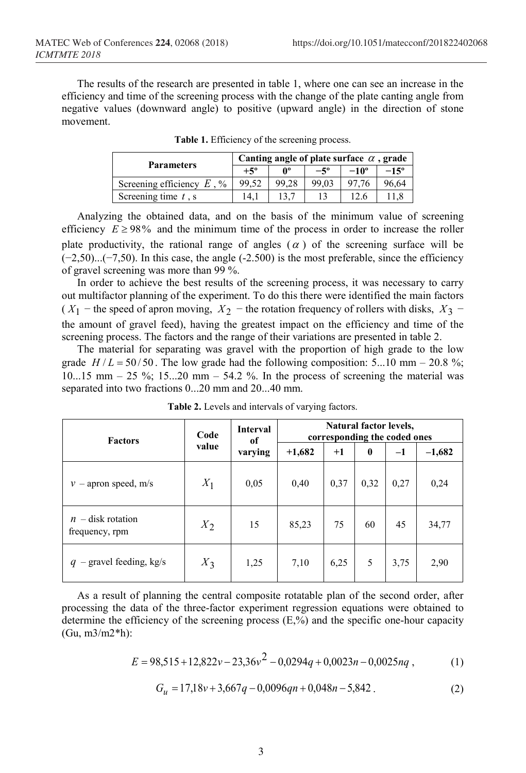The results of the research are presented in table 1, where one can see an increase in the efficiency and time of the screening process with the change of the plate canting angle from negative values (downward angle) to positive (upward angle) in the direction of stone movement.

| <b>Parameters</b>            | Canting angle of plate surface $\alpha$ , grade |       |              |               |               |  |
|------------------------------|-------------------------------------------------|-------|--------------|---------------|---------------|--|
|                              | $+5^{\rm o}$                                    | Λº    | $-5^{\circ}$ | $-10^{\circ}$ | $-15^{\circ}$ |  |
| Screening efficiency $E$ , % | 99,52                                           | 99.28 | 99.03        | 97.76         | 96.64         |  |
| Screening time $t$ , s       | 14.1                                            |       |              | 12.6          |               |  |

**Table 1.** Efficiency of the screening process.

Analyzing the obtained data, and on the basis of the minimum value of screening efficiency  $E \ge 98\%$  and the minimum time of the process in order to increase the roller plate productivity, the rational range of angles  $(\alpha)$  of the screening surface will be (−2,50)...(−7,50). In this case, the angle (-2.500) is the most preferable, since the efficiency of gravel screening was more than 99 %.

In order to achieve the best results of the screening process, it was necessary to carry out multifactor planning of the experiment. To do this there were identified the main factors ( $X_1$  − the speed of apron moving,  $X_2$  − the rotation frequency of rollers with disks,  $X_3$  − the amount of gravel feed), having the greatest impact on the efficiency and time of the screening process. The factors and the range of their variations are presented in table 2.

The material for separating was gravel with the proportion of high grade to the low grade  $H/L = 50/50$ . The low grade had the following composition: 5...10 mm – 20.8 %;  $10...15$  mm  $-25$  %;  $15...20$  mm  $-54.2$  %. In the process of screening the material was separated into two fractions 0...20 mm and 20...40 mm.

| <b>Factors</b>                        | Code<br>value | <b>Interval</b><br>of | Natural factor levels,<br>corresponding the coded ones |      |          |      |          |  |
|---------------------------------------|---------------|-----------------------|--------------------------------------------------------|------|----------|------|----------|--|
|                                       |               | varying               | $+1,682$                                               | $+1$ | $\bf{0}$ | $-1$ | $-1,682$ |  |
| $v$ – apron speed, m/s                | $X_1$         | 0,05                  | 0,40                                                   | 0,37 | 0,32     | 0,27 | 0,24     |  |
| $n -$ disk rotation<br>frequency, rpm | $X_2$         | 15                    | 85,23                                                  | 75   | 60       | 45   | 34,77    |  |
| $-$ gravel feeding, kg/s<br>q         | $X_3$         | 1,25                  | 7,10                                                   | 6,25 | 5        | 3,75 | 2,90     |  |

**Table 2.** Levels and intervals of varying factors.

As a result of planning the central composite rotatable plan of the second order, after processing the data of the three-factor experiment regression equations were obtained to determine the efficiency of the screening process  $(E, %)$  and the specific one-hour capacity (Gu, m3/m2\*h):

$$
E = 98,515 + 12,822v - 23,36v^2 - 0,0294q + 0,0023n - 0,0025nq
$$
\n<sup>(1)</sup>

$$
G_u = 17,18v + 3,667q - 0,0096qn + 0,048n - 5,842.
$$
 (2)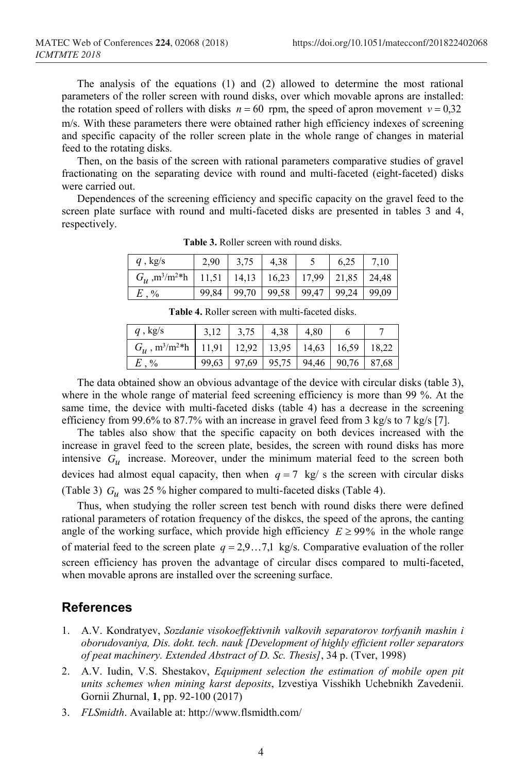The analysis of the equations (1) and (2) allowed to determine the most rational parameters of the roller screen with round disks, over which movable aprons are installed: the rotation speed of rollers with disks  $n = 60$  rpm, the speed of apron movement  $v = 0.32$ m/s. With these parameters there were obtained rather high efficiency indexes of screening and specific capacity of the roller screen plate in the whole range of changes in material feed to the rotating disks.

Then, on the basis of the screen with rational parameters comparative studies of gravel fractionating on the separating device with round and multi-faceted (eight-faceted) disks were carried out.

Dependences of the screening efficiency and specific capacity on the gravel feed to the screen plate surface with round and multi-faceted disks are presented in tables 3 and 4, respectively.

| $q$ , kg/s                                    | 2,90  | 3,75  | 4.38                                            | 6.25                  | 7.10 |
|-----------------------------------------------|-------|-------|-------------------------------------------------|-----------------------|------|
| $G_{\nu}$ , m <sup>3</sup> /m <sup>2*</sup> h |       |       | $11,51$   14,13   16,23   17,99   21,85   24,48 |                       |      |
| $\cdot$ %                                     | 99.84 | 99.70 | 99.58                                           | 99,47   99,24   99,09 |      |

**Table 3.** Roller screen with round disks.

| q, kg/s                                       | 3,75                                          | 4,38 | 4.80 |  |
|-----------------------------------------------|-----------------------------------------------|------|------|--|
| $G_{\mu}$ , m <sup>3</sup> /m <sup>2*</sup> h | 11,91   12,92   13,95   14,63   16,59   18,22 |      |      |  |
| $E. \%$                                       | 99,63   97,69   95,75   94,46   90,76   87,68 |      |      |  |

**Table 4.** Roller screen with multi-faceted disks.

The data obtained show an obvious advantage of the device with circular disks (table 3), where in the whole range of material feed screening efficiency is more than 99 %. At the same time, the device with multi-faceted disks (table 4) has a decrease in the screening efficiency from 99.6% to 87.7% with an increase in gravel feed from 3 kg/s to 7 kg/s [7].

The tables also show that the specific capacity on both devices increased with the increase in gravel feed to the screen plate, besides, the screen with round disks has more intensive *Gu* increase. Moreover, under the minimum material feed to the screen both devices had almost equal capacity, then when  $q = 7$  kg/ s the screen with circular disks (Table 3) *Gu* was 25 % higher compared to multi-faceted disks (Table 4).

Thus, when studying the roller screen test bench with round disks there were defined rational parameters of rotation frequency of the diskcs, the speed of the aprons, the canting angle of the working surface, which provide high efficiency  $E \geq 99\%$  in the whole range of material feed to the screen plate  $q = 2,9...7,1$  kg/s. Comparative evaluation of the roller screen efficiency has proven the advantage of circular discs compared to multi-faceted, when movable aprons are installed over the screening surface.

## **References**

- 1. A.V. Kondratyev, *Sozdanie visokoeffektivnih valkovih separatorov torfyanih mashin i oborudovaniya, Dis. dokt. tech. nauk [Development of highly efficient roller separators of peat machinery. Extended Abstract of D. Sc. Thesis]*, 34 p. (Tver, 1998)
- 2. A.V. Iudin, V.S. Shestakov, *Equipment selection the estimation of mobile open pit units schemes when mining karst deposits*, Izvestiya Visshikh Uchebnikh Zavedenii. Gornii Zhurnal, **1**, pp. 92-100 (2017)
- 3. *FLSmidth*. Available at: http://www.flsmidth.com/